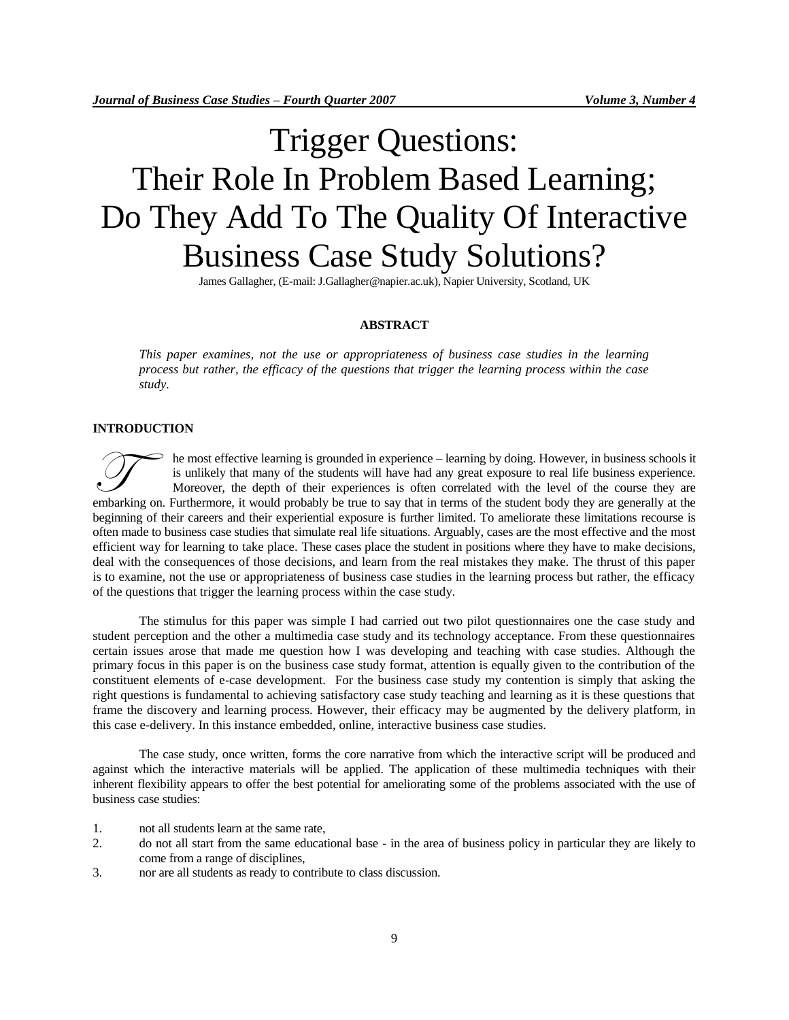# Trigger Questions: Their Role In Problem Based Learning; Do They Add To The Quality Of Interactive Business Case Study Solutions?

James Gallagher, (E-mail: J.Gallagher@napier.ac.uk), Napier University, Scotland, UK

#### **ABSTRACT**

*This paper examines, not the use or appropriateness of business case studies in the learning process but rather, the efficacy of the questions that trigger the learning process within the case study.* 

#### **INTRODUCTION**

he most effective learning is grounded in experience – learning by doing. However, in business schools it is unlikely that many of the students will have had any great exposure to real life business experience. Moreover, the depth of their experiences is often correlated with the level of the course they are embarking on. Furthermore, it would probably be true to say that in terms of the student body they are generally at the embarking on. Furthermore, it would probably be true to say that in terms of the student body they are beginning of their careers and their experiential exposure is further limited. To ameliorate these limitations recourse is often made to business case studies that simulate real life situations. Arguably, cases are the most effective and the most efficient way for learning to take place. These cases place the student in positions where they have to make decisions, deal with the consequences of those decisions, and learn from the real mistakes they make. The thrust of this paper is to examine, not the use or appropriateness of business case studies in the learning process but rather, the efficacy of the questions that trigger the learning process within the case study.

The stimulus for this paper was simple I had carried out two pilot questionnaires one the case study and student perception and the other a multimedia case study and its technology acceptance. From these questionnaires certain issues arose that made me question how I was developing and teaching with case studies. Although the primary focus in this paper is on the business case study format, attention is equally given to the contribution of the constituent elements of e-case development. For the business case study my contention is simply that asking the right questions is fundamental to achieving satisfactory case study teaching and learning as it is these questions that frame the discovery and learning process. However, their efficacy may be augmented by the delivery platform, in this case e-delivery. In this instance embedded, online, interactive business case studies.

The case study, once written, forms the core narrative from which the interactive script will be produced and against which the interactive materials will be applied. The application of these multimedia techniques with their inherent flexibility appears to offer the best potential for ameliorating some of the problems associated with the use of business case studies:

- 1. not all students learn at the same rate,
- 2. do not all start from the same educational base in the area of business policy in particular they are likely to come from a range of disciplines,
- 3. nor are all students as ready to contribute to class discussion.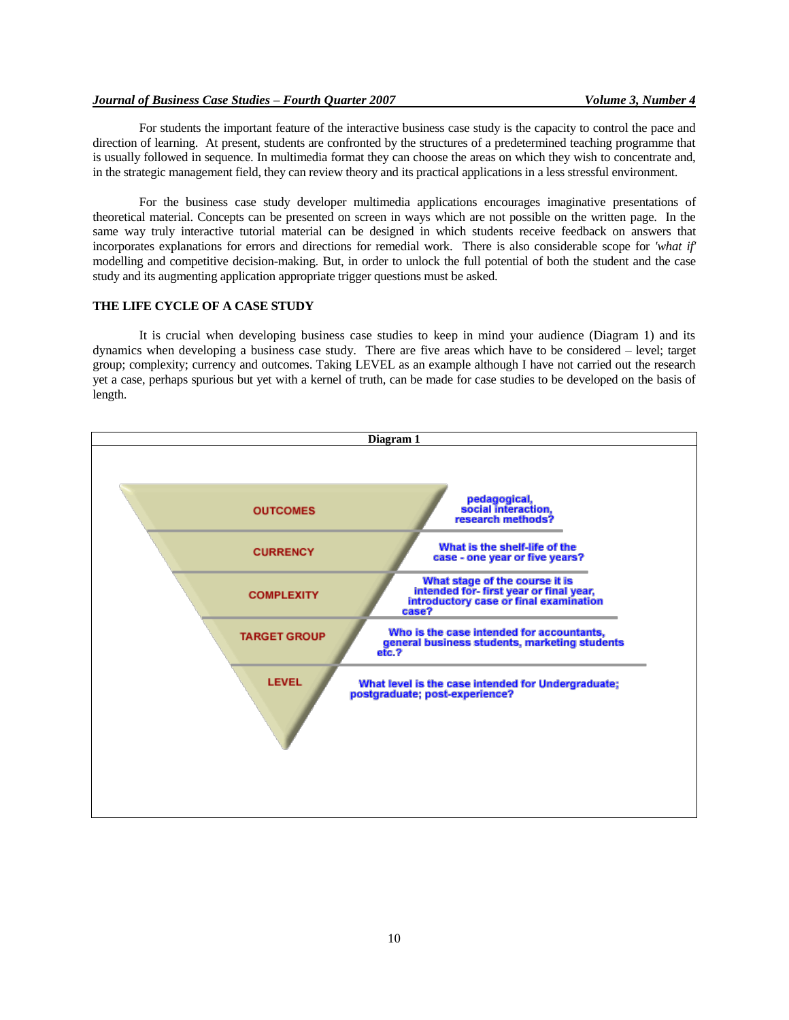For students the important feature of the interactive business case study is the capacity to control the pace and direction of learning. At present, students are confronted by the structures of a predetermined teaching programme that is usually followed in sequence. In multimedia format they can choose the areas on which they wish to concentrate and, in the strategic management field, they can review theory and its practical applications in a less stressful environment.

For the business case study developer multimedia applications encourages imaginative presentations of theoretical material. Concepts can be presented on screen in ways which are not possible on the written page. In the same way truly interactive tutorial material can be designed in which students receive feedback on answers that incorporates explanations for errors and directions for remedial work. There is also considerable scope for *'what if'* modelling and competitive decision-making. But, in order to unlock the full potential of both the student and the case study and its augmenting application appropriate trigger questions must be asked.

## **THE LIFE CYCLE OF A CASE STUDY**

It is crucial when developing business case studies to keep in mind your audience (Diagram 1) and its dynamics when developing a business case study. There are five areas which have to be considered – level; target group; complexity; currency and outcomes. Taking LEVEL as an example although I have not carried out the research yet a case, perhaps spurious but yet with a kernel of truth, can be made for case studies to be developed on the basis of length.

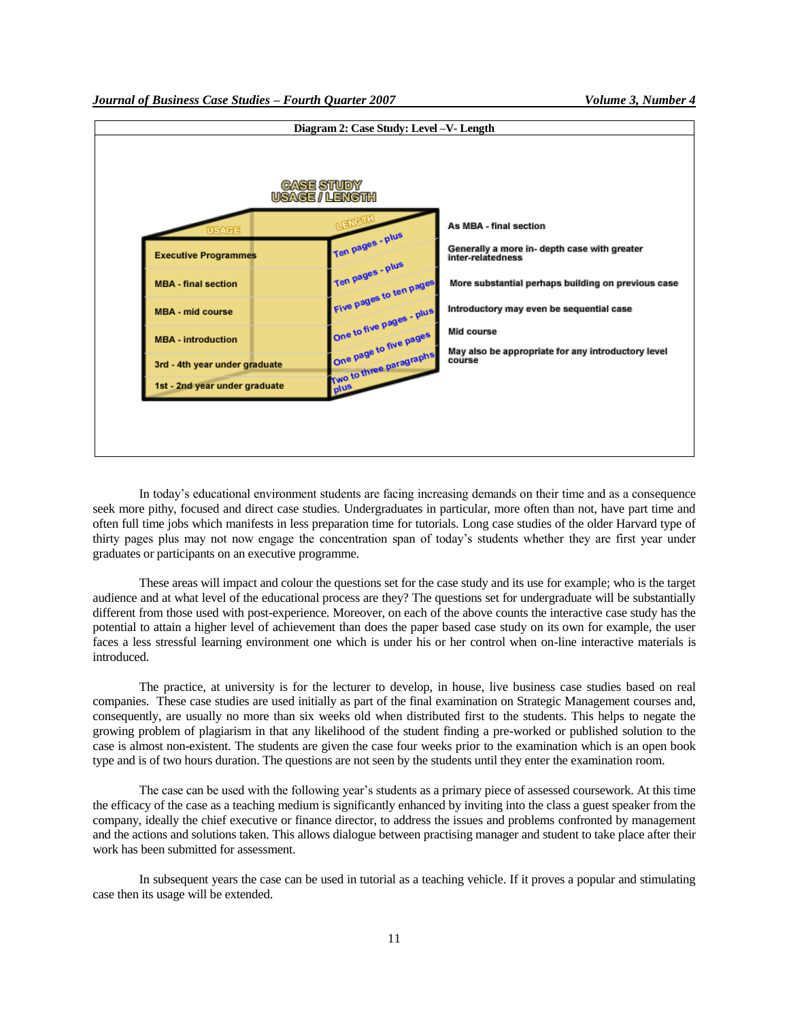

In today"s educational environment students are facing increasing demands on their time and as a consequence seek more pithy, focused and direct case studies. Undergraduates in particular, more often than not, have part time and often full time jobs which manifests in less preparation time for tutorials. Long case studies of the older Harvard type of thirty pages plus may not now engage the concentration span of today"s students whether they are first year under graduates or participants on an executive programme.

These areas will impact and colour the questions set for the case study and its use for example; who is the target audience and at what level of the educational process are they? The questions set for undergraduate will be substantially different from those used with post-experience. Moreover, on each of the above counts the interactive case study has the potential to attain a higher level of achievement than does the paper based case study on its own for example, the user faces a less stressful learning environment one which is under his or her control when on-line interactive materials is introduced.

The practice, at university is for the lecturer to develop, in house, live business case studies based on real companies. These case studies are used initially as part of the final examination on Strategic Management courses and, consequently, are usually no more than six weeks old when distributed first to the students. This helps to negate the growing problem of plagiarism in that any likelihood of the student finding a pre-worked or published solution to the case is almost non-existent. The students are given the case four weeks prior to the examination which is an open book type and is of two hours duration. The questions are not seen by the students until they enter the examination room.

The case can be used with the following year"s students as a primary piece of assessed coursework. At this time the efficacy of the case as a teaching medium is significantly enhanced by inviting into the class a guest speaker from the company, ideally the chief executive or finance director, to address the issues and problems confronted by management and the actions and solutions taken. This allows dialogue between practising manager and student to take place after their work has been submitted for assessment.

In subsequent years the case can be used in tutorial as a teaching vehicle. If it proves a popular and stimulating case then its usage will be extended.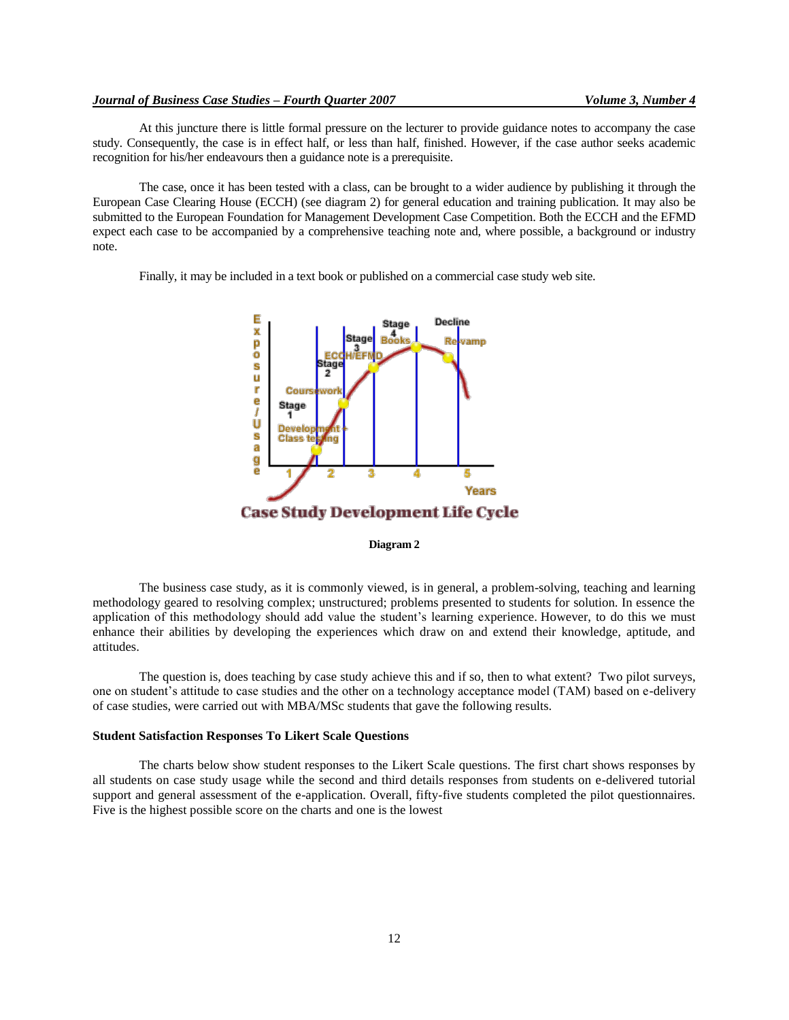At this juncture there is little formal pressure on the lecturer to provide guidance notes to accompany the case study. Consequently, the case is in effect half, or less than half, finished. However, if the case author seeks academic recognition for his/her endeavours then a guidance note is a prerequisite.

The case, once it has been tested with a class, can be brought to a wider audience by publishing it through the European Case Clearing House (ECCH) (see diagram 2) for general education and training publication. It may also be submitted to the European Foundation for Management Development Case Competition. Both the ECCH and the EFMD expect each case to be accompanied by a comprehensive teaching note and, where possible, a background or industry note.

Finally, it may be included in a text book or published on a commercial case study web site.



## **Diagram 2**

The business case study, as it is commonly viewed, is in general, a problem-solving, teaching and learning methodology geared to resolving complex; unstructured; problems presented to students for solution. In essence the application of this methodology should add value the student"s learning experience. However, to do this we must enhance their abilities by developing the experiences which draw on and extend their knowledge, aptitude, and attitudes.

The question is, does teaching by case study achieve this and if so, then to what extent? Two pilot surveys, one on student"s attitude to case studies and the other on a technology acceptance model (TAM) based on e-delivery of case studies, were carried out with MBA/MSc students that gave the following results.

## **Student Satisfaction Responses To Likert Scale Questions**

The charts below show student responses to the Likert Scale questions. The first chart shows responses by all students on case study usage while the second and third details responses from students on e-delivered tutorial support and general assessment of the e-application. Overall, fifty-five students completed the pilot questionnaires. Five is the highest possible score on the charts and one is the lowest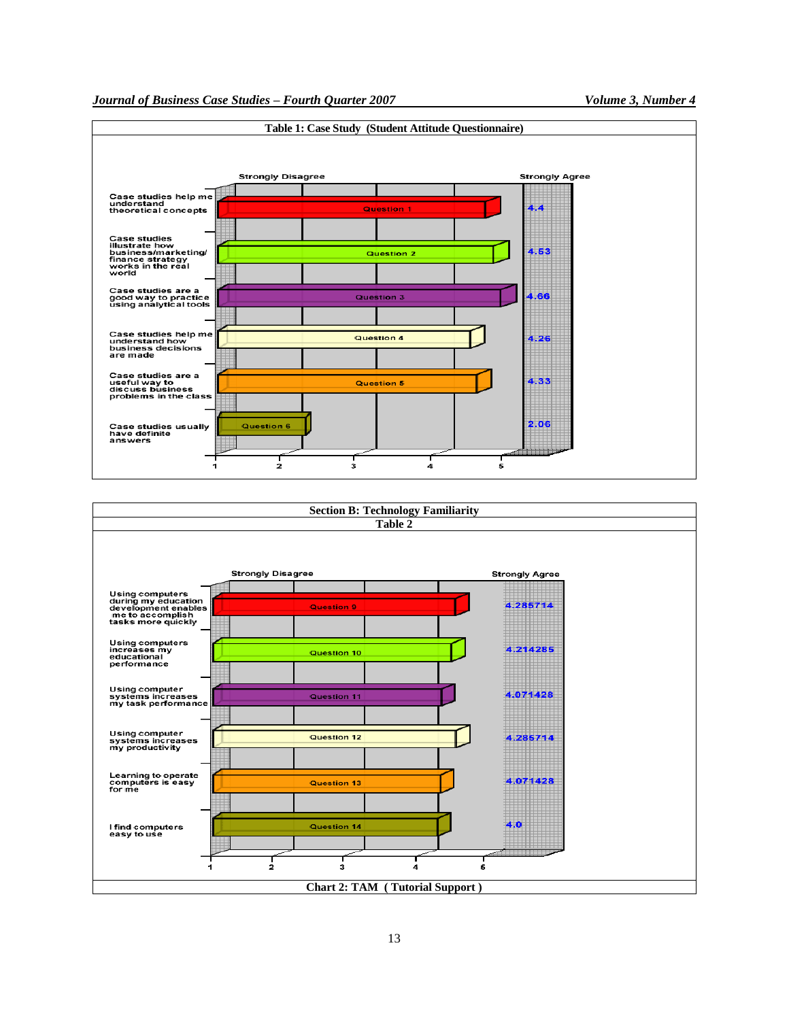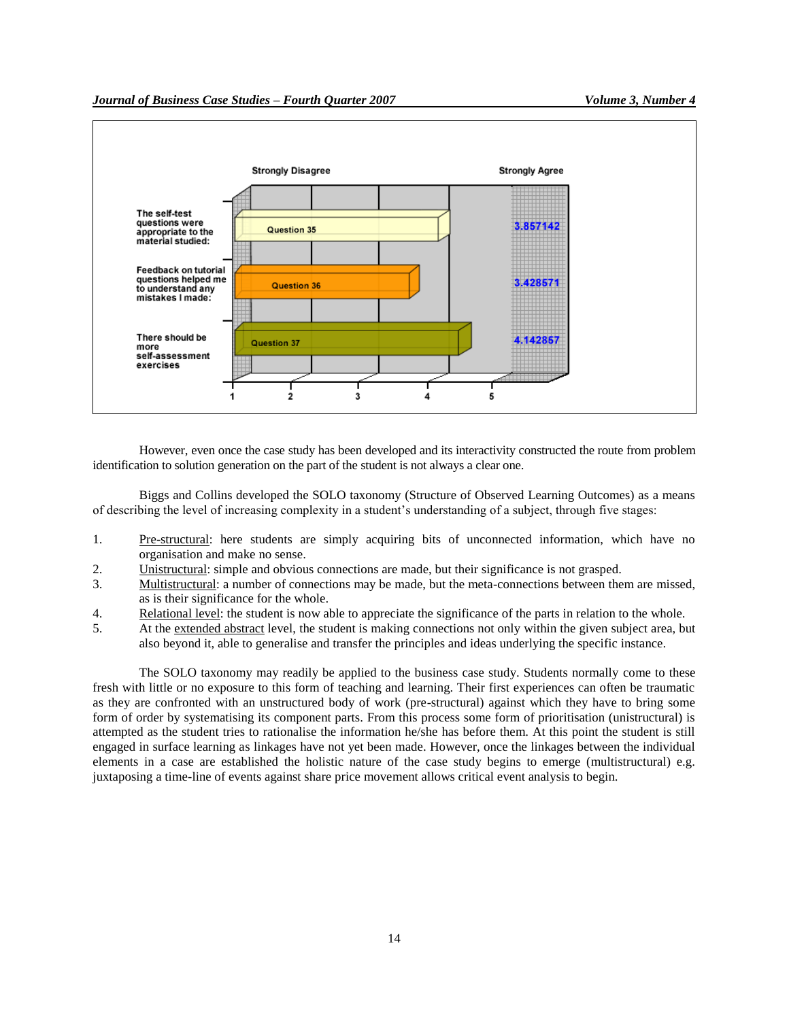

However, even once the case study has been developed and its interactivity constructed the route from problem identification to solution generation on the part of the student is not always a clear one.

Biggs and Collins developed the SOLO taxonomy (Structure of Observed Learning Outcomes) as a means of describing the level of increasing complexity in a student"s understanding of a subject, through five stages:

- 1. Pre-structural: here students are simply acquiring bits of unconnected information, which have no organisation and make no sense.
- 2. Unistructural: simple and obvious connections are made, but their significance is not grasped.
- 3. Multistructural: a number of connections may be made, but the meta-connections between them are missed, as is their significance for the whole.
- 4. Relational level: the student is now able to appreciate the significance of the parts in relation to the whole.
- 5. At the extended abstract level, the student is making connections not only within the given subject area, but also beyond it, able to generalise and transfer the principles and ideas underlying the specific instance.

The SOLO taxonomy may readily be applied to the business case study. Students normally come to these fresh with little or no exposure to this form of teaching and learning. Their first experiences can often be traumatic as they are confronted with an unstructured body of work (pre-structural) against which they have to bring some form of order by systematising its component parts. From this process some form of prioritisation (unistructural) is attempted as the student tries to rationalise the information he/she has before them. At this point the student is still engaged in surface learning as linkages have not yet been made. However, once the linkages between the individual elements in a case are established the holistic nature of the case study begins to emerge (multistructural) e.g. juxtaposing a time-line of events against share price movement allows critical event analysis to begin.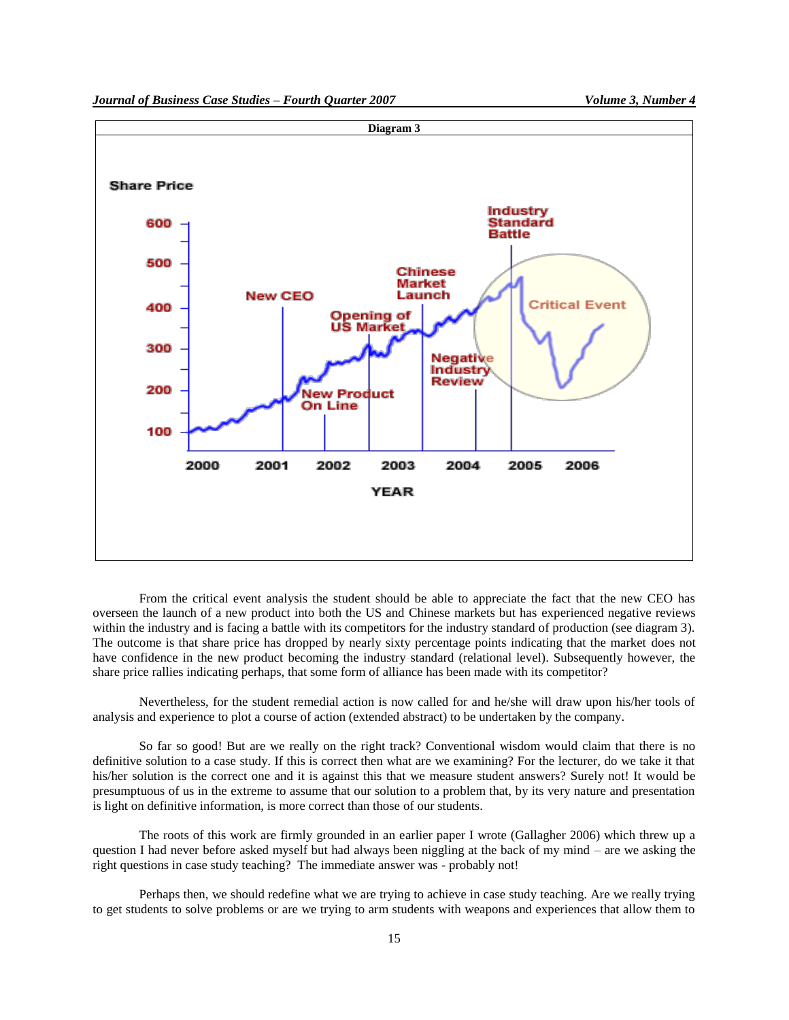

From the critical event analysis the student should be able to appreciate the fact that the new CEO has overseen the launch of a new product into both the US and Chinese markets but has experienced negative reviews within the industry and is facing a battle with its competitors for the industry standard of production (see diagram 3). The outcome is that share price has dropped by nearly sixty percentage points indicating that the market does not have confidence in the new product becoming the industry standard (relational level). Subsequently however, the share price rallies indicating perhaps, that some form of alliance has been made with its competitor?

Nevertheless, for the student remedial action is now called for and he/she will draw upon his/her tools of analysis and experience to plot a course of action (extended abstract) to be undertaken by the company.

So far so good! But are we really on the right track? Conventional wisdom would claim that there is no definitive solution to a case study. If this is correct then what are we examining? For the lecturer, do we take it that his/her solution is the correct one and it is against this that we measure student answers? Surely not! It would be presumptuous of us in the extreme to assume that our solution to a problem that, by its very nature and presentation is light on definitive information, is more correct than those of our students.

The roots of this work are firmly grounded in an earlier paper I wrote (Gallagher 2006) which threw up a question I had never before asked myself but had always been niggling at the back of my mind – are we asking the right questions in case study teaching? The immediate answer was - probably not!

Perhaps then, we should redefine what we are trying to achieve in case study teaching. Are we really trying to get students to solve problems or are we trying to arm students with weapons and experiences that allow them to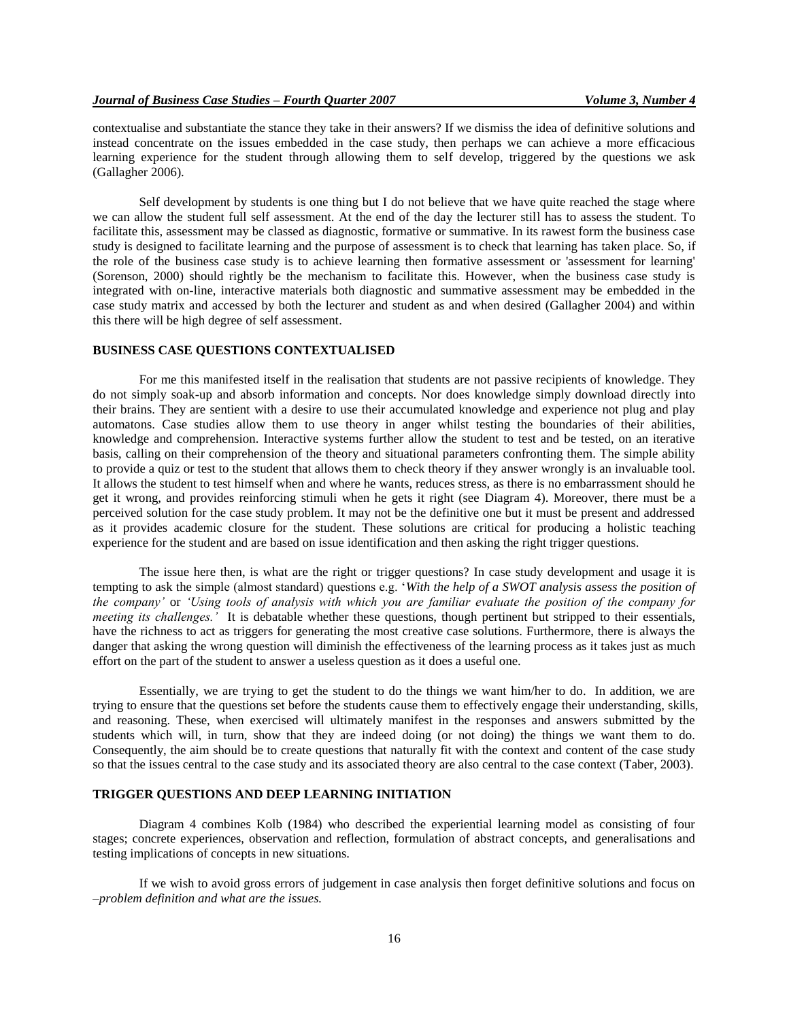contextualise and substantiate the stance they take in their answers? If we dismiss the idea of definitive solutions and instead concentrate on the issues embedded in the case study, then perhaps we can achieve a more efficacious learning experience for the student through allowing them to self develop, triggered by the questions we ask (Gallagher 2006).

Self development by students is one thing but I do not believe that we have quite reached the stage where we can allow the student full self assessment. At the end of the day the lecturer still has to assess the student. To facilitate this, assessment may be classed as diagnostic, formative or summative. In its rawest form the business case study is designed to facilitate learning and the purpose of assessment is to check that learning has taken place. So, if the role of the business case study is to achieve learning then formative assessment or 'assessment for learning' (Sorenson, 2000) should rightly be the mechanism to facilitate this. However, when the business case study is integrated with on-line, interactive materials both diagnostic and summative assessment may be embedded in the case study matrix and accessed by both the lecturer and student as and when desired (Gallagher 2004) and within this there will be high degree of self assessment.

## **BUSINESS CASE QUESTIONS CONTEXTUALISED**

For me this manifested itself in the realisation that students are not passive recipients of knowledge. They do not simply soak-up and absorb information and concepts. Nor does knowledge simply download directly into their brains. They are sentient with a desire to use their accumulated knowledge and experience not plug and play automatons. Case studies allow them to use theory in anger whilst testing the boundaries of their abilities, knowledge and comprehension. Interactive systems further allow the student to test and be tested, on an iterative basis, calling on their comprehension of the theory and situational parameters confronting them. The simple ability to provide a quiz or test to the student that allows them to check theory if they answer wrongly is an invaluable tool. It allows the student to test himself when and where he wants, reduces stress, as there is no embarrassment should he get it wrong, and provides reinforcing stimuli when he gets it right (see Diagram 4). Moreover, there must be a perceived solution for the case study problem. It may not be the definitive one but it must be present and addressed as it provides academic closure for the student. These solutions are critical for producing a holistic teaching experience for the student and are based on issue identification and then asking the right trigger questions.

The issue here then, is what are the right or trigger questions? In case study development and usage it is tempting to ask the simple (almost standard) questions e.g. "*With the help of a SWOT analysis assess the position of the company'* or *'Using tools of analysis with which you are familiar evaluate the position of the company for meeting its challenges.'* It is debatable whether these questions, though pertinent but stripped to their essentials, have the richness to act as triggers for generating the most creative case solutions. Furthermore, there is always the danger that asking the wrong question will diminish the effectiveness of the learning process as it takes just as much effort on the part of the student to answer a useless question as it does a useful one.

Essentially, we are trying to get the student to do the things we want him/her to do. In addition, we are trying to ensure that the questions set before the students cause them to effectively engage their understanding, skills, and reasoning. These, when exercised will ultimately manifest in the responses and answers submitted by the students which will, in turn, show that they are indeed doing (or not doing) the things we want them to do. Consequently, the aim should be to create questions that naturally fit with the context and content of the case study so that the issues central to the case study and its associated theory are also central to the case context (Taber, 2003).

#### **TRIGGER QUESTIONS AND DEEP LEARNING INITIATION**

Diagram 4 combines Kolb (1984) who described the experiential learning model as consisting of four stages; concrete experiences, observation and reflection, formulation of abstract concepts, and generalisations and testing implications of concepts in new situations.

If we wish to avoid gross errors of judgement in case analysis then forget definitive solutions and focus on –*problem definition and what are the issues.*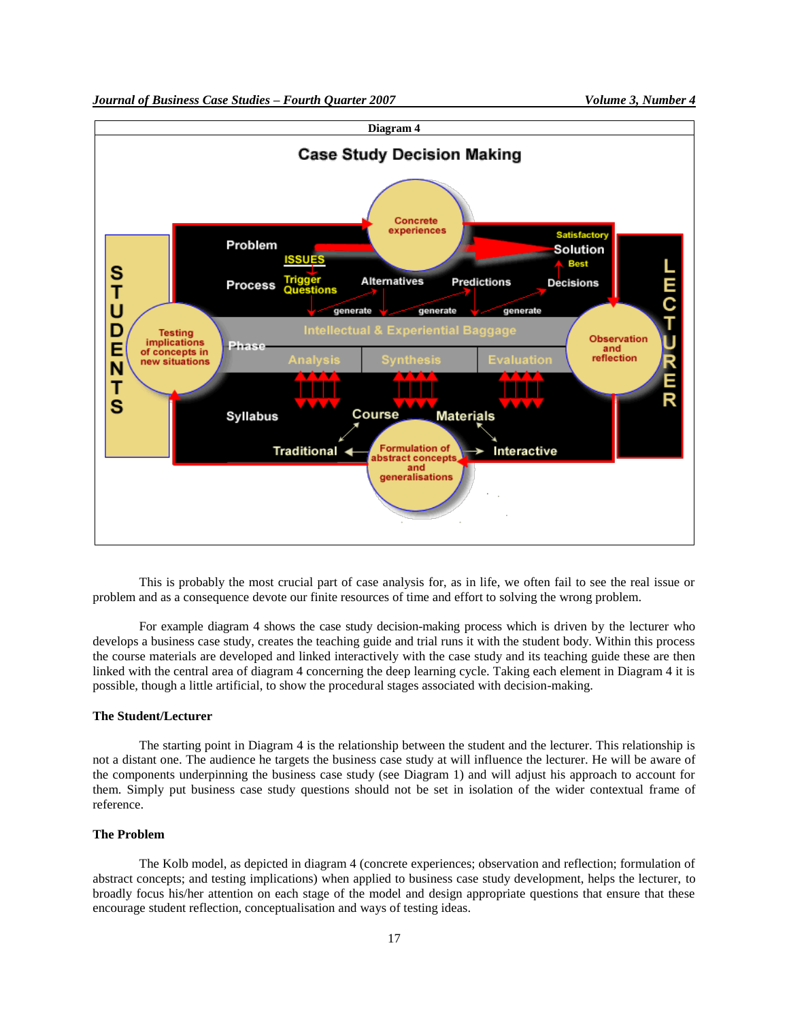

This is probably the most crucial part of case analysis for, as in life, we often fail to see the real issue or problem and as a consequence devote our finite resources of time and effort to solving the wrong problem.

For example diagram 4 shows the case study decision-making process which is driven by the lecturer who develops a business case study, creates the teaching guide and trial runs it with the student body. Within this process the course materials are developed and linked interactively with the case study and its teaching guide these are then linked with the central area of diagram 4 concerning the deep learning cycle. Taking each element in Diagram 4 it is possible, though a little artificial, to show the procedural stages associated with decision-making.

## **The Student/Lecturer**

The starting point in Diagram 4 is the relationship between the student and the lecturer. This relationship is not a distant one. The audience he targets the business case study at will influence the lecturer. He will be aware of the components underpinning the business case study (see Diagram 1) and will adjust his approach to account for them. Simply put business case study questions should not be set in isolation of the wider contextual frame of reference.

#### **The Problem**

The Kolb model, as depicted in diagram 4 (concrete experiences; observation and reflection; formulation of abstract concepts; and testing implications) when applied to business case study development, helps the lecturer, to broadly focus his/her attention on each stage of the model and design appropriate questions that ensure that these encourage student reflection, conceptualisation and ways of testing ideas.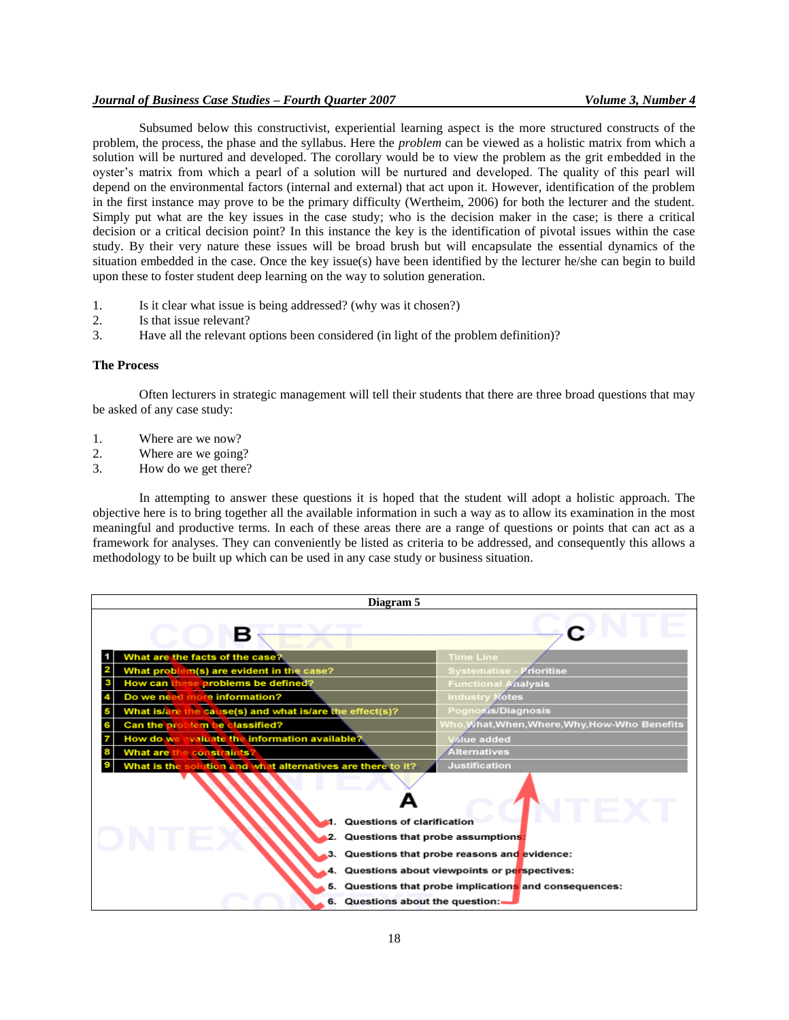Subsumed below this constructivist, experiential learning aspect is the more structured constructs of the problem, the process, the phase and the syllabus. Here the *problem* can be viewed as a holistic matrix from which a solution will be nurtured and developed. The corollary would be to view the problem as the grit embedded in the oyster"s matrix from which a pearl of a solution will be nurtured and developed. The quality of this pearl will depend on the environmental factors (internal and external) that act upon it. However, identification of the problem in the first instance may prove to be the primary difficulty (Wertheim, 2006) for both the lecturer and the student. Simply put what are the key issues in the case study; who is the decision maker in the case; is there a critical decision or a critical decision point? In this instance the key is the identification of pivotal issues within the case study. By their very nature these issues will be broad brush but will encapsulate the essential dynamics of the situation embedded in the case. Once the key issue(s) have been identified by the lecturer he/she can begin to build upon these to foster student deep learning on the way to solution generation.

- 1. Is it clear what issue is being addressed? (why was it chosen?)
- 2. Is that issue relevant?
- 3. Have all the relevant options been considered (in light of the problem definition)?

#### **The Process**

Often lecturers in strategic management will tell their students that there are three broad questions that may be asked of any case study:

- 1. Where are we now?
- 2. Where are we going?
- 3. How do we get there?

In attempting to answer these questions it is hoped that the student will adopt a holistic approach. The objective here is to bring together all the available information in such a way as to allow its examination in the most meaningful and productive terms. In each of these areas there are a range of questions or points that can act as a framework for analyses. They can conveniently be listed as criteria to be addressed, and consequently this allows a methodology to be built up which can be used in any case study or business situation.

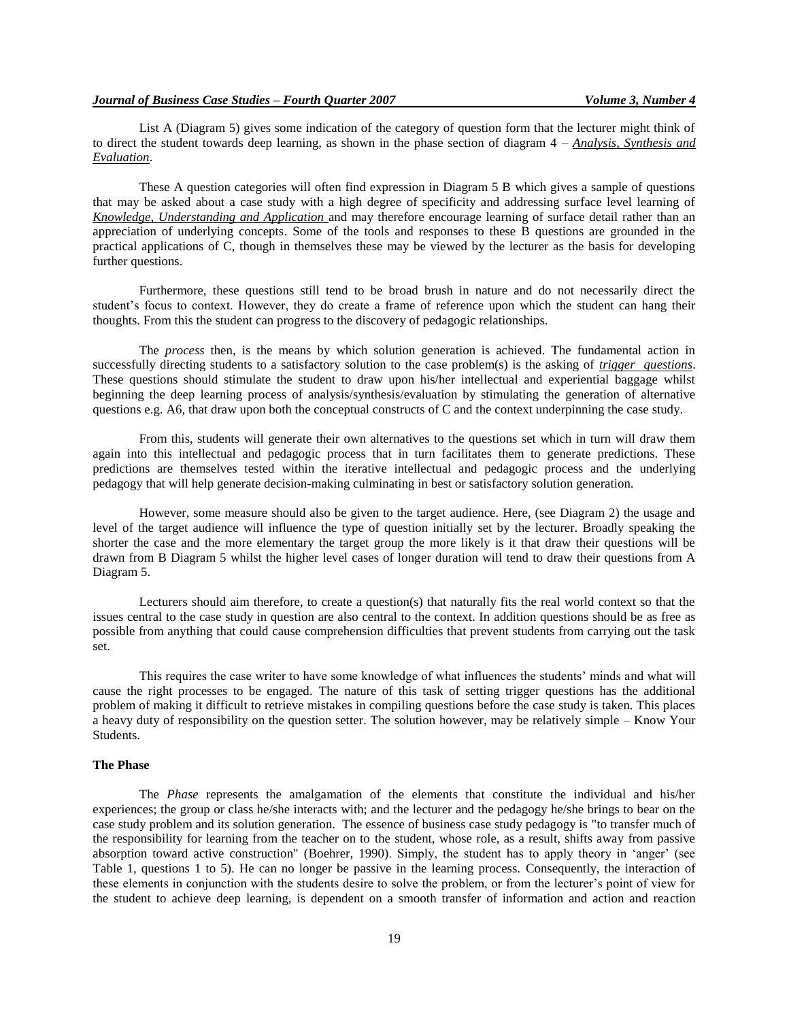List A (Diagram 5) gives some indication of the category of question form that the lecturer might think of to direct the student towards deep learning, as shown in the phase section of diagram 4 – *Analysis, Synthesis and Evaluation*.

These A question categories will often find expression in Diagram 5 B which gives a sample of questions that may be asked about a case study with a high degree of specificity and addressing surface level learning of *Knowledge, Understanding and Application* and may therefore encourage learning of surface detail rather than an appreciation of underlying concepts. Some of the tools and responses to these B questions are grounded in the practical applications of C, though in themselves these may be viewed by the lecturer as the basis for developing further questions.

Furthermore, these questions still tend to be broad brush in nature and do not necessarily direct the student"s focus to context. However, they do create a frame of reference upon which the student can hang their thoughts. From this the student can progress to the discovery of pedagogic relationships.

The *process* then, is the means by which solution generation is achieved. The fundamental action in successfully directing students to a satisfactory solution to the case problem(s) is the asking of *trigger questions*. These questions should stimulate the student to draw upon his/her intellectual and experiential baggage whilst beginning the deep learning process of analysis/synthesis/evaluation by stimulating the generation of alternative questions e.g. A6, that draw upon both the conceptual constructs of C and the context underpinning the case study.

From this, students will generate their own alternatives to the questions set which in turn will draw them again into this intellectual and pedagogic process that in turn facilitates them to generate predictions. These predictions are themselves tested within the iterative intellectual and pedagogic process and the underlying pedagogy that will help generate decision-making culminating in best or satisfactory solution generation.

However, some measure should also be given to the target audience. Here, (see Diagram 2) the usage and level of the target audience will influence the type of question initially set by the lecturer. Broadly speaking the shorter the case and the more elementary the target group the more likely is it that draw their questions will be drawn from B Diagram 5 whilst the higher level cases of longer duration will tend to draw their questions from A Diagram 5.

Lecturers should aim therefore, to create a question(s) that naturally fits the real world context so that the issues central to the case study in question are also central to the context. In addition questions should be as free as possible from anything that could cause comprehension difficulties that prevent students from carrying out the task set.

This requires the case writer to have some knowledge of what influences the students" minds and what will cause the right processes to be engaged. The nature of this task of setting trigger questions has the additional problem of making it difficult to retrieve mistakes in compiling questions before the case study is taken. This places a heavy duty of responsibility on the question setter. The solution however, may be relatively simple – Know Your Students.

#### **The Phase**

The *Phase* represents the amalgamation of the elements that constitute the individual and his/her experiences; the group or class he/she interacts with; and the lecturer and the pedagogy he/she brings to bear on the case study problem and its solution generation. The essence of business case study pedagogy is "to transfer much of the responsibility for learning from the teacher on to the student, whose role, as a result, shifts away from passive absorption toward active construction" (Boehrer, 1990). Simply, the student has to apply theory in "anger" (see Table 1, questions 1 to 5). He can no longer be passive in the learning process. Consequently, the interaction of these elements in conjunction with the students desire to solve the problem, or from the lecturer"s point of view for the student to achieve deep learning, is dependent on a smooth transfer of information and action and reaction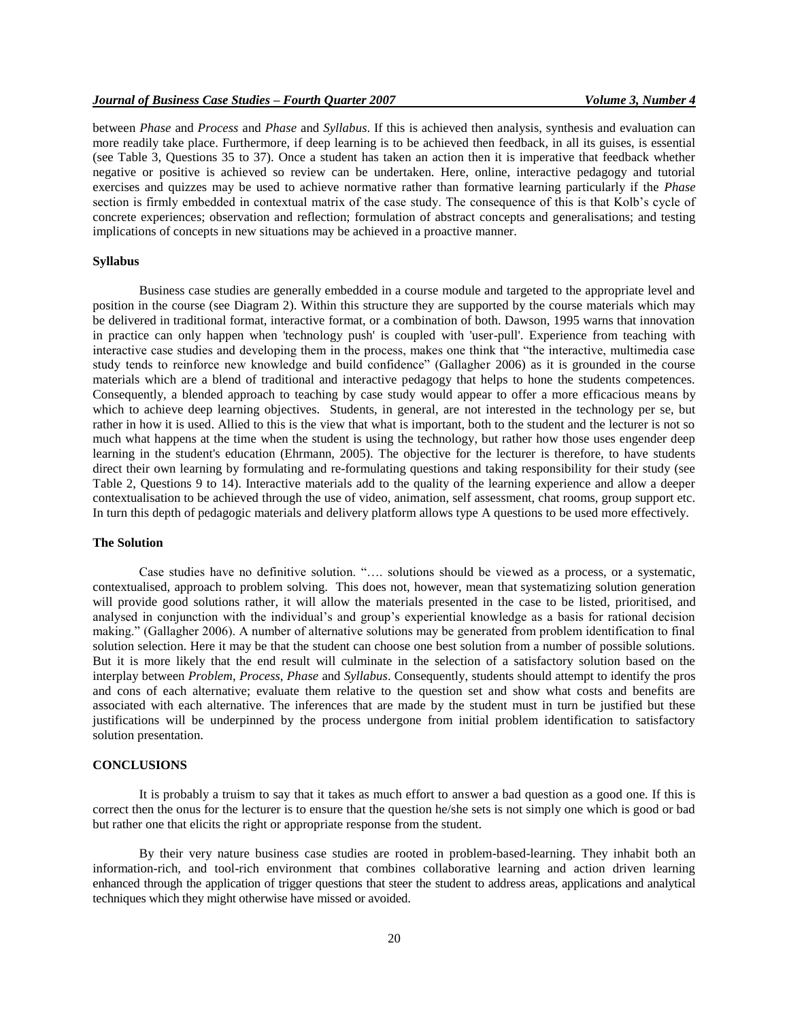between *Phase* and *Process* and *Phase* and *Syllabus*. If this is achieved then analysis, synthesis and evaluation can more readily take place. Furthermore, if deep learning is to be achieved then feedback, in all its guises, is essential (see Table 3, Questions 35 to 37). Once a student has taken an action then it is imperative that feedback whether negative or positive is achieved so review can be undertaken. Here, online, interactive pedagogy and tutorial exercises and quizzes may be used to achieve normative rather than formative learning particularly if the *Phase* section is firmly embedded in contextual matrix of the case study. The consequence of this is that Kolb's cycle of concrete experiences; observation and reflection; formulation of abstract concepts and generalisations; and testing implications of concepts in new situations may be achieved in a proactive manner.

## **Syllabus**

Business case studies are generally embedded in a course module and targeted to the appropriate level and position in the course (see Diagram 2). Within this structure they are supported by the course materials which may be delivered in traditional format, interactive format, or a combination of both. Dawson, 1995 warns that innovation in practice can only happen when 'technology push' is coupled with 'user-pull'. Experience from teaching with interactive case studies and developing them in the process, makes one think that "the interactive, multimedia case study tends to reinforce new knowledge and build confidence" (Gallagher 2006) as it is grounded in the course materials which are a blend of traditional and interactive pedagogy that helps to hone the students competences. Consequently, a blended approach to teaching by case study would appear to offer a more efficacious means by which to achieve deep learning objectives. Students, in general, are not interested in the technology per se, but rather in how it is used. Allied to this is the view that what is important, both to the student and the lecturer is not so much what happens at the time when the student is using the technology, but rather how those uses engender deep learning in the student's education (Ehrmann, 2005). The objective for the lecturer is therefore, to have students direct their own learning by formulating and re-formulating questions and taking responsibility for their study (see Table 2, Questions 9 to 14). Interactive materials add to the quality of the learning experience and allow a deeper contextualisation to be achieved through the use of video, animation, self assessment, chat rooms, group support etc. In turn this depth of pedagogic materials and delivery platform allows type A questions to be used more effectively.

## **The Solution**

Case studies have no definitive solution. "…. solutions should be viewed as a process, or a systematic, contextualised, approach to problem solving. This does not, however, mean that systematizing solution generation will provide good solutions rather, it will allow the materials presented in the case to be listed, prioritised, and analysed in conjunction with the individual's and group's experiential knowledge as a basis for rational decision making." (Gallagher 2006). A number of alternative solutions may be generated from problem identification to final solution selection. Here it may be that the student can choose one best solution from a number of possible solutions. But it is more likely that the end result will culminate in the selection of a satisfactory solution based on the interplay between *Problem*, *Process*, *Phase* and *Syllabus*. Consequently, students should attempt to identify the pros and cons of each alternative; evaluate them relative to the question set and show what costs and benefits are associated with each alternative. The inferences that are made by the student must in turn be justified but these justifications will be underpinned by the process undergone from initial problem identification to satisfactory solution presentation.

## **CONCLUSIONS**

It is probably a truism to say that it takes as much effort to answer a bad question as a good one. If this is correct then the onus for the lecturer is to ensure that the question he/she sets is not simply one which is good or bad but rather one that elicits the right or appropriate response from the student.

By their very nature business case studies are rooted in problem-based-learning. They inhabit both an information-rich, and tool-rich environment that combines collaborative learning and action driven learning enhanced through the application of trigger questions that steer the student to address areas, applications and analytical techniques which they might otherwise have missed or avoided.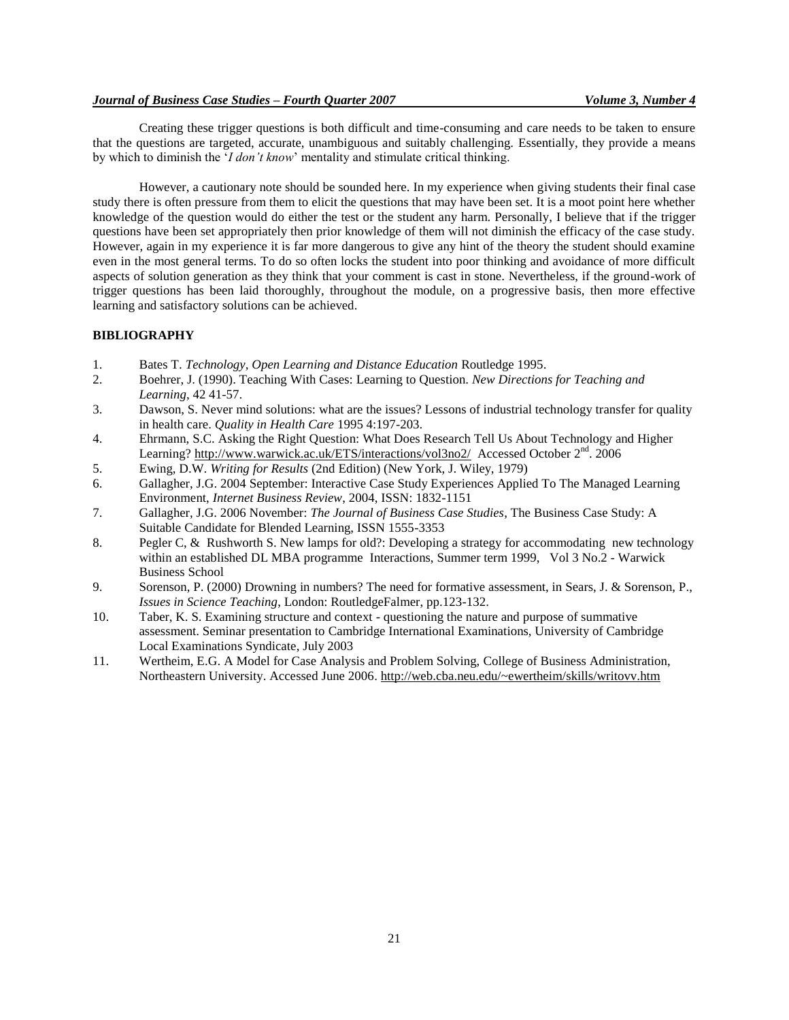Creating these trigger questions is both difficult and time-consuming and care needs to be taken to ensure that the questions are targeted, accurate, unambiguous and suitably challenging. Essentially, they provide a means by which to diminish the "*I don't know*" mentality and stimulate critical thinking.

However, a cautionary note should be sounded here. In my experience when giving students their final case study there is often pressure from them to elicit the questions that may have been set. It is a moot point here whether knowledge of the question would do either the test or the student any harm. Personally, I believe that if the trigger questions have been set appropriately then prior knowledge of them will not diminish the efficacy of the case study. However, again in my experience it is far more dangerous to give any hint of the theory the student should examine even in the most general terms. To do so often locks the student into poor thinking and avoidance of more difficult aspects of solution generation as they think that your comment is cast in stone. Nevertheless, if the ground-work of trigger questions has been laid thoroughly, throughout the module, on a progressive basis, then more effective learning and satisfactory solutions can be achieved.

#### **BIBLIOGRAPHY**

- 1. Bates T. *Technology, Open Learning and Distance Education* Routledge 1995.
- 2. Boehrer, J. (1990). Teaching With Cases: Learning to Question. *New Directions for Teaching and Learning*, 42 41-57.
- 3. Dawson, S. Never mind solutions: what are the issues? Lessons of industrial technology transfer for quality in health care. *Quality in Health Care* 1995 4:197-203.
- 4. Ehrmann, S.C. Asking the Right Question: What Does Research Tell Us About Technology and Higher Learning? http://www.warwick.ac.uk/ETS/interactions/vol3no2/ Accessed October 2<sup>nd</sup>. 2006
- 5. Ewing, D.W. *Writing for Results* (2nd Edition) (New York, J. Wiley, 1979)
- 6. Gallagher, J.G. 2004 September: Interactive Case Study Experiences Applied To The Managed Learning Environment, *Internet Business Review*, 2004, ISSN: 1832-1151
- 7. Gallagher, J.G. 2006 November: *The Journal of Business Case Studies*, The Business Case Study: A Suitable Candidate for Blended Learning, ISSN 1555-3353
- 8. Pegler C, & Rushworth S. New lamps for old?: Developing a strategy for accommodating new technology within an established DL MBA programme Interactions, Summer term 1999, Vol 3 No.2 - Warwick Business School
- 9. Sorenson, P. (2000) Drowning in numbers? The need for formative assessment, in Sears, J. & Sorenson, P., *Issues in Science Teaching*, London: RoutledgeFalmer, pp.123-132.
- 10. Taber, K. S. Examining structure and context questioning the nature and purpose of summative assessment. Seminar presentation to Cambridge International Examinations, University of Cambridge Local Examinations Syndicate, July 2003
- 11. Wertheim, E.G. A Model for Case Analysis and Problem Solving, College of Business Administration, Northeastern University. Accessed June 2006. http://web.cba.neu.edu/~ewertheim/skills/writovv.htm